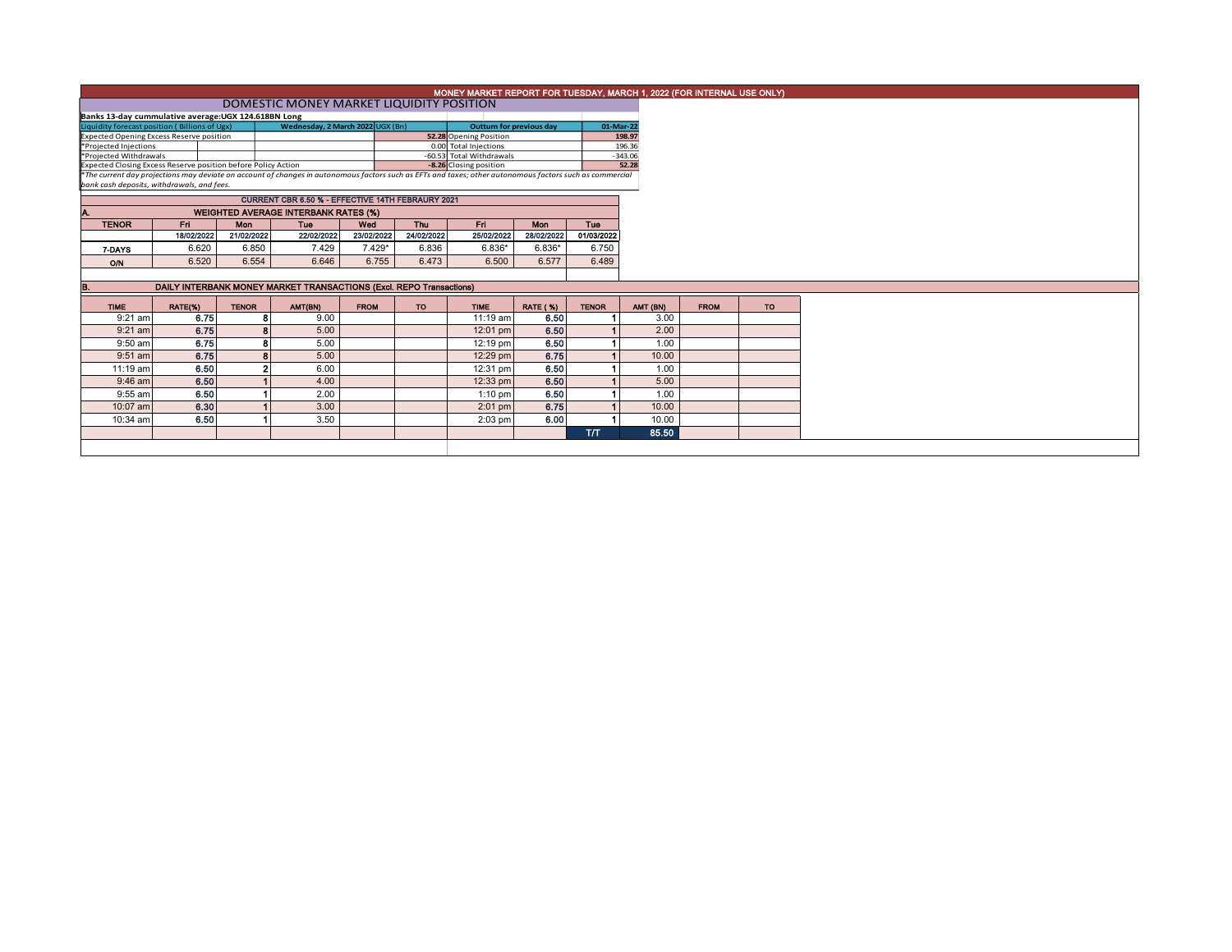|                                                                           |            |              |                                                                                                                                                          |             | MONEY MARKET REPORT FOR TUESDAY, MARCH 1, 2022 (FOR INTERNAL USE ONLY) |                          |                 |              |           |             |           |
|---------------------------------------------------------------------------|------------|--------------|----------------------------------------------------------------------------------------------------------------------------------------------------------|-------------|------------------------------------------------------------------------|--------------------------|-----------------|--------------|-----------|-------------|-----------|
| DOMESTIC MONEY MARKET LIQUIDITY POSITION                                  |            |              |                                                                                                                                                          |             |                                                                        |                          |                 |              |           |             |           |
| Banks 13-day cummulative average: UGX 124.618BN Long                      |            |              |                                                                                                                                                          |             |                                                                        |                          |                 |              |           |             |           |
| Liquidity forecast position (Billions of Ugx)                             |            |              | Wednesday, 2 March 2022 UGX (Bn)                                                                                                                         |             | <b>Outturn for previous day</b>                                        |                          | 01-Mar-22       |              |           |             |           |
| 52.28 Opening Position<br><b>Expected Opening Excess Reserve position</b> |            |              |                                                                                                                                                          |             |                                                                        |                          |                 |              | 198.97    |             |           |
| *Projected Injections                                                     |            |              |                                                                                                                                                          |             |                                                                        | 0.00 Total Injections    |                 |              | 196.36    |             |           |
| *Projected Withdrawals                                                    |            |              |                                                                                                                                                          |             |                                                                        | -60.53 Total Withdrawals |                 |              | $-343.06$ |             |           |
| Expected Closing Excess Reserve position before Policy Action             |            |              | *The current day projections may deviate on account of changes in autonomous factors such as EFTs and taxes; other autonomous factors such as commercial |             |                                                                        | -8.26 Closing position   |                 |              | 52.28     |             |           |
| bank cash deposits, withdrawals, and fees.                                |            |              |                                                                                                                                                          |             |                                                                        |                          |                 |              |           |             |           |
|                                                                           |            |              | CURRENT CBR 6.50 % - EFFECTIVE 14TH FEBRAURY 2021                                                                                                        |             |                                                                        |                          |                 |              |           |             |           |
|                                                                           |            |              | <b>WEIGHTED AVERAGE INTERBANK RATES (%)</b>                                                                                                              |             |                                                                        |                          |                 |              |           |             |           |
| <b>TENOR</b>                                                              | Fri.       | <b>Mon</b>   | Tue                                                                                                                                                      | Wed         | Thu                                                                    | Fri.                     | <b>Mon</b>      | <b>Tue</b>   |           |             |           |
|                                                                           | 18/02/2022 | 21/02/2022   | 22/02/2022                                                                                                                                               | 23/02/2022  | 24/02/2022                                                             | 25/02/2022               | 28/02/2022      | 01/03/2022   |           |             |           |
| 7-DAYS                                                                    | 6.620      | 6.850        | 7.429                                                                                                                                                    | $7.429*$    | 6.836                                                                  | $6.836*$                 | 6.836*          | 6.750        |           |             |           |
| ON                                                                        | 6.520      | 6.554        | 6.646                                                                                                                                                    | 6.755       | 6.473                                                                  | 6.500                    | 6.577           | 6.489        |           |             |           |
|                                                                           |            |              |                                                                                                                                                          |             |                                                                        |                          |                 |              |           |             |           |
| B.                                                                        |            |              | DAILY INTERBANK MONEY MARKET TRANSACTIONS (Excl. REPO Transactions)                                                                                      |             |                                                                        |                          |                 |              |           |             |           |
| <b>TIME</b>                                                               | RATE(%)    | <b>TENOR</b> | AMT(BN)                                                                                                                                                  | <b>FROM</b> | TO                                                                     | <b>TIME</b>              | <b>RATE (%)</b> | <b>TENOR</b> | AMT (BN)  | <b>FROM</b> | <b>TO</b> |
| $9:21$ am                                                                 | 6.75       |              | 9.00                                                                                                                                                     |             |                                                                        | $11:19$ am               | 6.50            |              | 3.00      |             |           |
| $9:21$ am                                                                 | 6.75       |              | 5.00                                                                                                                                                     |             |                                                                        | 12:01 pm                 | 6.50            |              | 2.00      |             |           |
| $9:50$ am                                                                 | 6.75       |              | 5.00                                                                                                                                                     |             |                                                                        | 12:19 pm                 | 6.50            |              | 1.00      |             |           |
| $9:51$ am                                                                 | 6.75       |              | 5.00                                                                                                                                                     |             |                                                                        | 12:29 pm                 | 6.75            |              | 10.00     |             |           |
| 11:19 am                                                                  | 6.50       |              | 6.00                                                                                                                                                     |             |                                                                        | 12:31 pm                 | 6.50            |              | 1.00      |             |           |
| $9:46$ am                                                                 | 6.50       |              | 4.00                                                                                                                                                     |             |                                                                        | 12:33 pm                 | 6.50            |              | 5.00      |             |           |
| $9:55$ am                                                                 | 6.50       |              | 2.00                                                                                                                                                     |             |                                                                        | $1:10$ pm                | 6.50            |              | 1.00      |             |           |
| 10:07 am                                                                  | 6.30       |              | 3.00                                                                                                                                                     |             |                                                                        | $2:01$ pm                | 6.75            |              | 10.00     |             |           |
| 10:34 am                                                                  | 6.50       |              | 3.50                                                                                                                                                     |             |                                                                        | $2:03$ pm                | 6.00            |              | 10.00     |             |           |
|                                                                           |            |              |                                                                                                                                                          |             |                                                                        |                          |                 | <b>Т/Т</b>   | 85.50     |             |           |
|                                                                           |            |              |                                                                                                                                                          |             |                                                                        |                          |                 |              |           |             |           |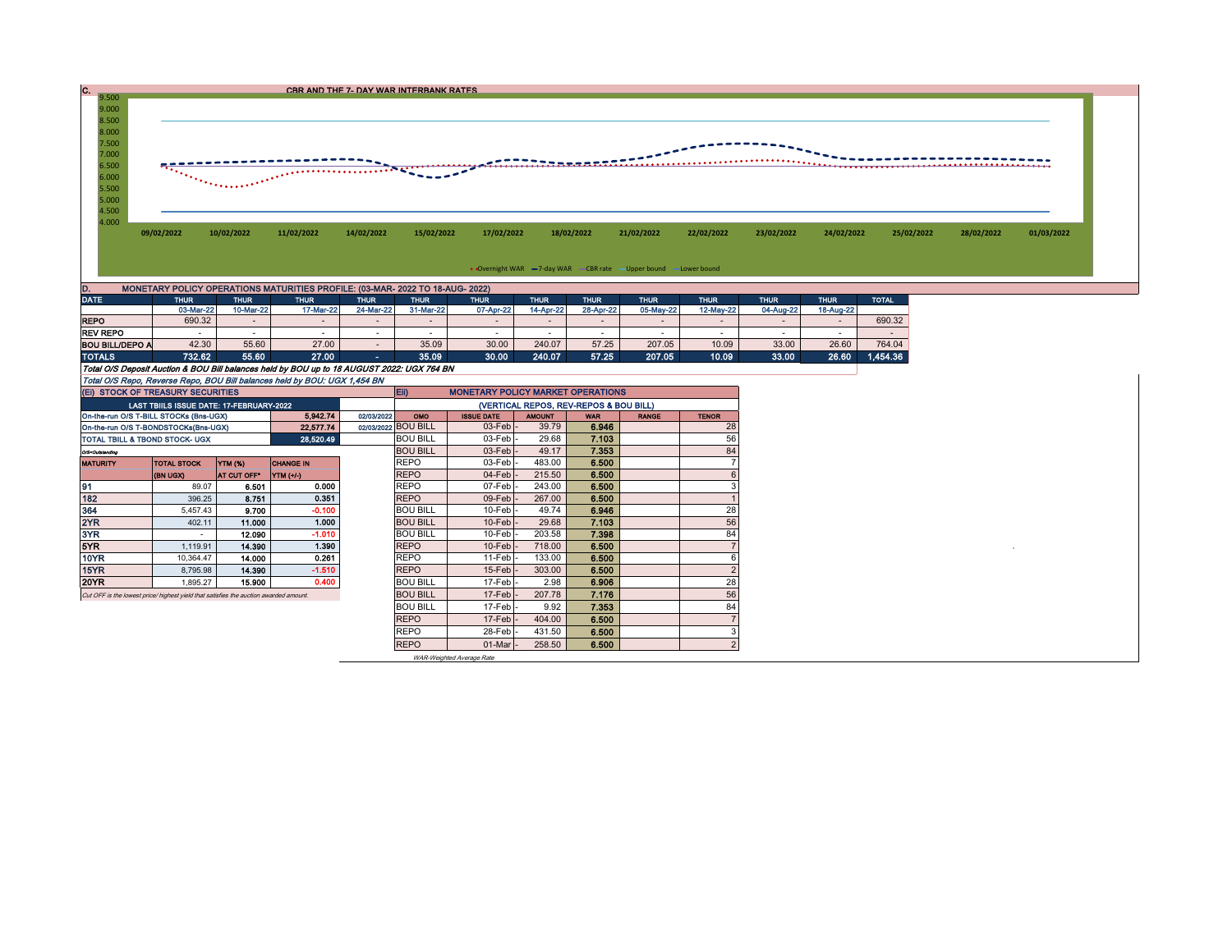## C. C. CBR AND THE 7- DAY WAR INTERBANK RATES

9.000 8.500 8.000 7.500 7.000 -------------6.500 موم 6.000 5.500 5.000 4.500 4.000

09/02/2022 10/02/2022 11/02/2022 14/02/2022 15/02/2022 17/02/2022 18/02/2022 21/02/2022 22/02/2022 23/02/2022 24/02/2022 25/02/2022 28/02/2022 19/03/2022

## • Overnight WAR = 7-day WAR CBR rate - Upper bound - Lower bound

| D.<br>MONETARY POLICY OPERATIONS MATURITIES PROFILE: (03-MAR- 2022 TO 18-AUG- 2022) |             |           |             |             |             |             |             |             |             |             |             |             |              |  |
|-------------------------------------------------------------------------------------|-------------|-----------|-------------|-------------|-------------|-------------|-------------|-------------|-------------|-------------|-------------|-------------|--------------|--|
| <b>DATE</b>                                                                         | <b>THUR</b> | THUR      | <b>THUR</b> | <b>THUR</b> | <b>THUR</b> | <b>THUR</b> | <b>THUR</b> | <b>THUR</b> | <b>THUR</b> | <b>THUR</b> | <b>THUR</b> | <b>THUR</b> | <b>TOTAL</b> |  |
|                                                                                     | 03-Mar-22   | 10-Mar-22 | 17-Mar-22   | 24-Mar-22   | 31-Mar-22   | 07-Apr-22   | 14-Apr-22   | 28-Apr-22   | 05-May-22   | 12-May-22   | 04-Aug-22   | 18-Aug-22   |              |  |
| <b>REPO</b>                                                                         | 690.32      |           |             |             |             |             |             |             |             |             |             |             | 690.32       |  |
| <b>REV REPO</b>                                                                     |             |           |             |             |             |             |             |             |             |             |             |             |              |  |
| <b>BOU BILL/DEPO A</b>                                                              | 42.30       | 55.60     | 27.00       |             | 35.09       | 30.00       | 240.07      | 57.25       | 207.05      | 10.09       | 33.00       | 26.60       | 764.04       |  |
| <b>TOTALS</b>                                                                       | 732.62      | 55.60     | 27.00       | <b>100</b>  | 35.09       | 30.00       | 240.07      | 57.25       | 207.05      | 10.09       | 33.00       | 26.60       | 1,454.36     |  |

Total O/S Deposit Auction & BOU Bill balances held by BOU up to 18 AUGUST 2022: UGX 764 BN

Total O/S Repo, Reverse Repo, BOU Bill balances held by BOU: UGX 1,454 BN

9.500

| (EI) STOCK OF TREASURY SECURITIES                                                     |                                          |               |                  |       | $E$ ii)<br><b>MONETARY POLICY MARKET OPERATIONS</b> |                     |               |            |              |              |  |  |
|---------------------------------------------------------------------------------------|------------------------------------------|---------------|------------------|-------|-----------------------------------------------------|---------------------|---------------|------------|--------------|--------------|--|--|
|                                                                                       | LAST TBIILS ISSUE DATE: 17-FEBRUARY-2022 |               |                  |       | (VERTICAL REPOS, REV-REPOS & BOU BILL)              |                     |               |            |              |              |  |  |
| 5,942.74<br>02/03/2022<br>On-the-run O/S T-BILL STOCKs (Bns-UGX)                      |                                          |               |                  |       |                                                     | <b>ISSUE DATE</b>   | <b>AMOUNT</b> | <b>WAR</b> | <b>RANGE</b> | <b>TENOR</b> |  |  |
| 22,577.74<br>On-the-run O/S T-BONDSTOCKs(Bns-UGX)                                     |                                          |               |                  |       | 02/03/2022 BOU BILL                                 | $03$ -Feb $-$       | 39.79         | 6.946      |              | 28           |  |  |
| 28,520.49<br>TOTAL TBILL & TBOND STOCK- UGX                                           |                                          |               |                  |       | <b>BOU BILL</b>                                     | $03$ -Feb $\vert$ - | 29.68         | 7.103      |              | 56           |  |  |
| O/S=Outstanding                                                                       |                                          |               |                  |       | <b>BOU BILL</b>                                     | $03$ -Feb $\vert$ - | 49.17         | 7.353      |              | 84           |  |  |
| <b>MATURITY</b>                                                                       | <b>TOTAL STOCK</b>                       | YTM (%)       | <b>CHANGE IN</b> |       | <b>REPO</b>                                         | $03$ -Feb $\vert$ - | 483.00        | 6.500      |              |              |  |  |
|                                                                                       | (BN UGX)                                 | AT CUT OFF*   | YTM (+/-)        |       | <b>REPO</b>                                         | $04$ -Feb $-$       | 215.50        | 6.500      |              |              |  |  |
| 91                                                                                    | 89.07                                    | 6.501         | 0.000            |       | <b>REPO</b>                                         | 07-Feb              | 243.00        | 6.500      |              |              |  |  |
| 182                                                                                   | 396.25                                   | 8.751         | 0.351            |       | <b>REPO</b>                                         | $09$ -Feb $\vert$   | 267.00        | 6.500      |              |              |  |  |
| 364                                                                                   | 5,457.43                                 | 9.700         | $-0.100$         |       | <b>BOU BILL</b>                                     | $10$ -Feb $-$       | 49.74         | 6.946      |              | 28           |  |  |
| 2YR                                                                                   | 402.11                                   | 11.000        | 1.000            |       | <b>BOU BILL</b>                                     | $10$ -Feb $\vert$ - | 29.68         | 7.103      |              | 56           |  |  |
| 3YR                                                                                   |                                          | 12.090        | $-1.010$         |       | <b>BOU BILL</b>                                     | $10$ -Feb $\cdot$   | 203.58        | 7.398      |              | 84           |  |  |
| 5YR.                                                                                  | 1,119.91                                 | 14.390        | 1.390            |       | <b>REPO</b>                                         | $10$ -Feb $\vert$ - | 718.00        | 6.500      |              |              |  |  |
| 10YR                                                                                  | 10.364.47                                | 14.000        | 0.261            |       | <b>REPO</b>                                         | $11-Febl -$         | 133.00        | 6.500      |              |              |  |  |
| 15YR                                                                                  | 8,795.98                                 | 14.390        | $-1.510$         |       | <b>REPO</b>                                         | $15$ -Feb $\vert$ - | 303.00        | 6.500      |              | $\epsilon$   |  |  |
| 20YR                                                                                  | 1,895.27                                 | 15.900        | 0.400            |       | <b>BOU BILL</b>                                     | 17-Feb -            | 2.98          | 6.906      |              | 28           |  |  |
| Cut OFF is the lowest price/ highest yield that satisfies the auction awarded amount. |                                          |               |                  |       | <b>BOU BILL</b>                                     | $17$ -Feb $\vert$ - | 207.78        | 7.176      |              | 56           |  |  |
|                                                                                       | <b>BOU BILL</b>                          | $17$ -Feb $-$ | 9.92             | 7.353 |                                                     | 84                  |               |            |              |              |  |  |
| <b>REPO</b>                                                                           |                                          |               |                  |       |                                                     | $17$ -Feb $\vert$ - | 404.00        | 6.500      |              |              |  |  |
|                                                                                       |                                          |               |                  |       |                                                     | 28-Feb -            | 431.50        | 6.500      |              |              |  |  |
|                                                                                       |                                          |               |                  |       | <b>REPO</b>                                         | $01$ -Mar $\vert$ - | 258.50        | 6.500      |              | $\epsilon$   |  |  |

WAR-Weighted Average Rate